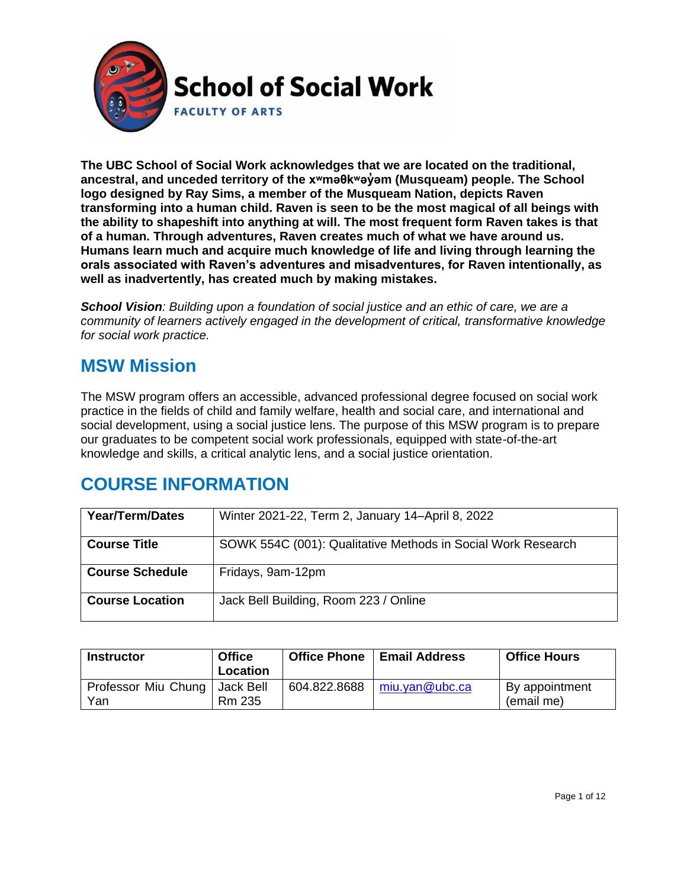

**The UBC School of Social Work acknowledges that we are located on the traditional, ancestral, and unceded territory of the [xʷməθkʷəy̓əm](http://www.musqueam.bc.ca/) (Musqueam) people. The School logo designed by Ray Sims, a member of the Musqueam Nation, depicts Raven transforming into a human child. Raven is seen to be the most magical of all beings with the ability to shapeshift into anything at will. The most frequent form Raven takes is that of a human. Through adventures, Raven creates much of what we have around us. Humans learn much and acquire much knowledge of life and living through learning the orals associated with Raven's adventures and misadventures, for Raven intentionally, as well as inadvertently, has created much by making mistakes.**

*School Vision: Building upon a foundation of social justice and an ethic of care, we are a community of learners actively engaged in the development of critical, transformative knowledge for social work practice.*

### **MSW Mission**

The MSW program offers an accessible, advanced professional degree focused on social work practice in the fields of child and family welfare, health and social care, and international and social development, using a social justice lens. The purpose of this MSW program is to prepare our graduates to be competent social work professionals, equipped with state-of-the-art knowledge and skills, a critical analytic lens, and a social justice orientation.

## **COURSE INFORMATION**

| <b>Year/Term/Dates</b> | Winter 2021-22, Term 2, January 14-April 8, 2022             |
|------------------------|--------------------------------------------------------------|
| <b>Course Title</b>    | SOWK 554C (001): Qualitative Methods in Social Work Research |
| <b>Course Schedule</b> | Fridays, 9am-12pm                                            |
| <b>Course Location</b> | Jack Bell Building, Room 223 / Online                        |

| <b>Instructor</b>          | <b>Office</b><br>Location    | <b>Office Phone</b> | <b>Email Address</b> | <b>Office Hours</b>          |
|----------------------------|------------------------------|---------------------|----------------------|------------------------------|
| Professor Miu Chung<br>Yan | I Jack Bell<br><b>Rm 235</b> | 604.822.8688        | miu.yan@ubc.ca       | By appointment<br>(email me) |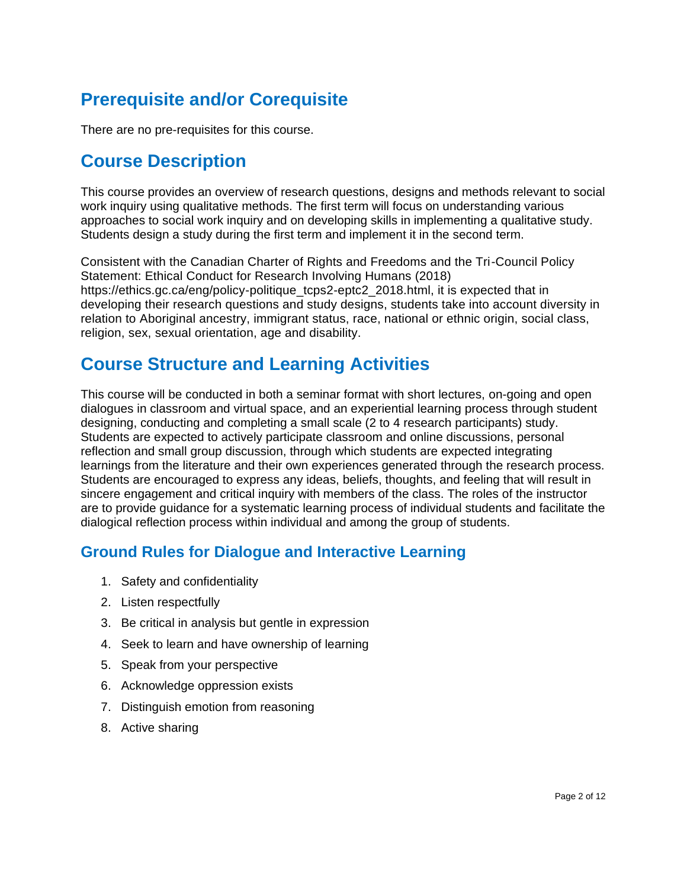## **Prerequisite and/or Corequisite**

There are no pre-requisites for this course.

### **Course Description**

This course provides an overview of research questions, designs and methods relevant to social work inquiry using qualitative methods. The first term will focus on understanding various approaches to social work inquiry and on developing skills in implementing a qualitative study. Students design a study during the first term and implement it in the second term.

Consistent with the Canadian Charter of Rights and Freedoms and the Tri-Council Policy Statement: Ethical Conduct for Research Involving Humans (2018) https://ethics.gc.ca/eng/policy-politique\_tcps2-eptc2\_2018.html, it is expected that in developing their research questions and study designs, students take into account diversity in relation to Aboriginal ancestry, immigrant status, race, national or ethnic origin, social class, religion, sex, sexual orientation, age and disability.

### **Course Structure and Learning Activities**

This course will be conducted in both a seminar format with short lectures, on-going and open dialogues in classroom and virtual space, and an experiential learning process through student designing, conducting and completing a small scale (2 to 4 research participants) study. Students are expected to actively participate classroom and online discussions, personal reflection and small group discussion, through which students are expected integrating learnings from the literature and their own experiences generated through the research process. Students are encouraged to express any ideas, beliefs, thoughts, and feeling that will result in sincere engagement and critical inquiry with members of the class. The roles of the instructor are to provide guidance for a systematic learning process of individual students and facilitate the dialogical reflection process within individual and among the group of students.

### **Ground Rules for Dialogue and Interactive Learning**

- 1. Safety and confidentiality
- 2. Listen respectfully
- 3. Be critical in analysis but gentle in expression
- 4. Seek to learn and have ownership of learning
- 5. Speak from your perspective
- 6. Acknowledge oppression exists
- 7. Distinguish emotion from reasoning
- 8. Active sharing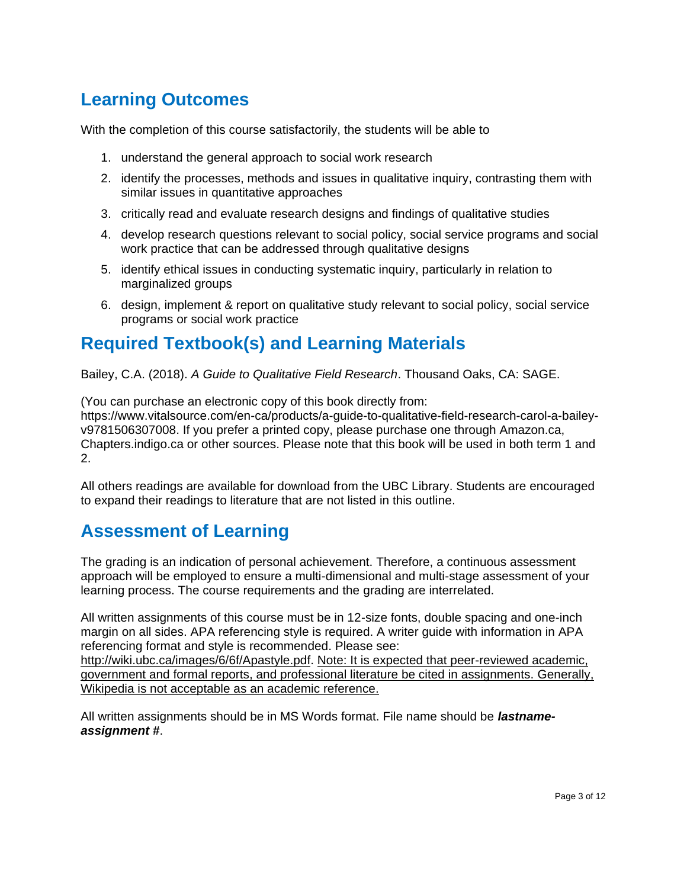### **Learning Outcomes**

With the completion of this course satisfactorily, the students will be able to

- 1. understand the general approach to social work research
- 2. identify the processes, methods and issues in qualitative inquiry, contrasting them with similar issues in quantitative approaches
- 3. critically read and evaluate research designs and findings of qualitative studies
- 4. develop research questions relevant to social policy, social service programs and social work practice that can be addressed through qualitative designs
- 5. identify ethical issues in conducting systematic inquiry, particularly in relation to marginalized groups
- 6. design, implement & report on qualitative study relevant to social policy, social service programs or social work practice

## **Required Textbook(s) and Learning Materials**

Bailey, C.A. (2018). *A Guide to Qualitative Field Research*. Thousand Oaks, CA: SAGE.

(You can purchase an electronic copy of this book directly from: https://www.vitalsource.com/en-ca/products/a-guide-to-qualitative-field-research-carol-a-baileyv9781506307008. If you prefer a printed copy, please purchase one through Amazon.ca, Chapters.indigo.ca or other sources. Please note that this book will be used in both term 1 and 2.

All others readings are available for download from the UBC Library. Students are encouraged to expand their readings to literature that are not listed in this outline.

### **Assessment of Learning**

The grading is an indication of personal achievement. Therefore, a continuous assessment approach will be employed to ensure a multi-dimensional and multi-stage assessment of your learning process. The course requirements and the grading are interrelated.

All written assignments of this course must be in 12-size fonts, double spacing and one-inch margin on all sides. APA referencing style is required. A writer guide with information in APA referencing format and style is recommended. Please see:

[http://wiki.ubc.ca/images/6/6f/Apastyle.pdf.](http://wiki.ubc.ca/images/6/6f/Apastyle.pdf) Note: It is expected that peer-reviewed academic, government and formal reports, and professional literature be cited in assignments. Generally, Wikipedia is not acceptable as an academic reference.

All written assignments should be in MS Words format. File name should be *lastnameassignment #*.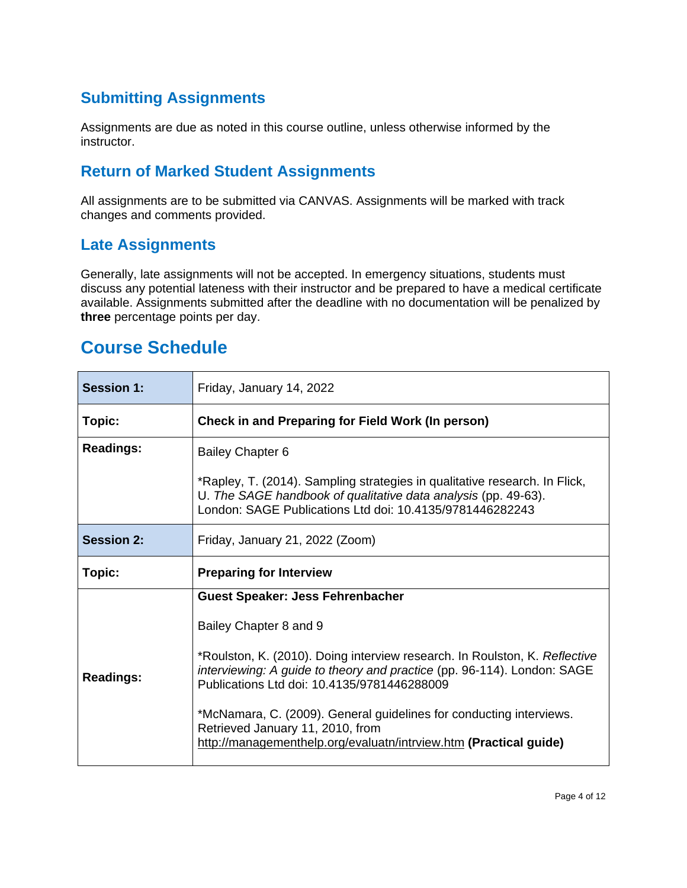### **Submitting Assignments**

Assignments are due as noted in this course outline, unless otherwise informed by the instructor.

### **Return of Marked Student Assignments**

All assignments are to be submitted via CANVAS. Assignments will be marked with track changes and comments provided.

### **Late Assignments**

Generally, late assignments will not be accepted. In emergency situations, students must discuss any potential lateness with their instructor and be prepared to have a medical certificate available. Assignments submitted after the deadline with no documentation will be penalized by **three** percentage points per day.

### **Course Schedule**

| <b>Session 1:</b> | Friday, January 14, 2022                                                                                                                                                                                                                                                                                                                                                                                                                                  |  |
|-------------------|-----------------------------------------------------------------------------------------------------------------------------------------------------------------------------------------------------------------------------------------------------------------------------------------------------------------------------------------------------------------------------------------------------------------------------------------------------------|--|
| Topic:            | Check in and Preparing for Field Work (In person)                                                                                                                                                                                                                                                                                                                                                                                                         |  |
| <b>Readings:</b>  | <b>Bailey Chapter 6</b><br>*Rapley, T. (2014). Sampling strategies in qualitative research. In Flick,<br>U. The SAGE handbook of qualitative data analysis (pp. 49-63).<br>London: SAGE Publications Ltd doi: 10.4135/9781446282243                                                                                                                                                                                                                       |  |
| <b>Session 2:</b> | Friday, January 21, 2022 (Zoom)                                                                                                                                                                                                                                                                                                                                                                                                                           |  |
| Topic:            | <b>Preparing for Interview</b>                                                                                                                                                                                                                                                                                                                                                                                                                            |  |
| <b>Readings:</b>  | <b>Guest Speaker: Jess Fehrenbacher</b><br>Bailey Chapter 8 and 9<br>*Roulston, K. (2010). Doing interview research. In Roulston, K. Reflective<br>interviewing: A guide to theory and practice (pp. 96-114). London: SAGE<br>Publications Ltd doi: 10.4135/9781446288009<br>*McNamara, C. (2009). General guidelines for conducting interviews.<br>Retrieved January 11, 2010, from<br>http://managementhelp.org/evaluatn/intrview.htm (Practical guide) |  |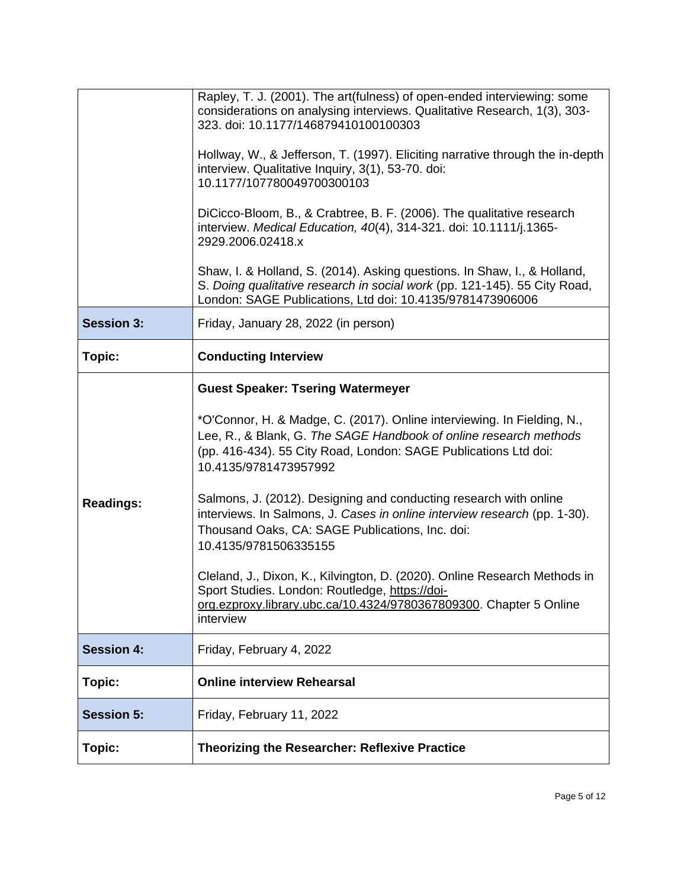|                   | Rapley, T. J. (2001). The art(fulness) of open-ended interviewing: some<br>considerations on analysing interviews. Qualitative Research, 1(3), 303-<br>323. doi: 10.1177/146879410100100303<br>Hollway, W., & Jefferson, T. (1997). Eliciting narrative through the in-depth<br>interview. Qualitative Inquiry, 3(1), 53-70. doi:<br>10.1177/107780049700300103<br>DiCicco-Bloom, B., & Crabtree, B. F. (2006). The qualitative research<br>interview. Medical Education, 40(4), 314-321. doi: 10.1111/j.1365-<br>2929.2006.02418.x<br>Shaw, I. & Holland, S. (2014). Asking questions. In Shaw, I., & Holland,<br>S. Doing qualitative research in social work (pp. 121-145). 55 City Road,<br>London: SAGE Publications, Ltd doi: 10.4135/9781473906006 |
|-------------------|-----------------------------------------------------------------------------------------------------------------------------------------------------------------------------------------------------------------------------------------------------------------------------------------------------------------------------------------------------------------------------------------------------------------------------------------------------------------------------------------------------------------------------------------------------------------------------------------------------------------------------------------------------------------------------------------------------------------------------------------------------------|
| <b>Session 3:</b> | Friday, January 28, 2022 (in person)                                                                                                                                                                                                                                                                                                                                                                                                                                                                                                                                                                                                                                                                                                                      |
| Topic:            | <b>Conducting Interview</b>                                                                                                                                                                                                                                                                                                                                                                                                                                                                                                                                                                                                                                                                                                                               |
| <b>Readings:</b>  | <b>Guest Speaker: Tsering Watermeyer</b><br>*O'Connor, H. & Madge, C. (2017). Online interviewing. In Fielding, N.,<br>Lee, R., & Blank, G. The SAGE Handbook of online research methods<br>(pp. 416-434). 55 City Road, London: SAGE Publications Ltd doi:<br>10.4135/9781473957992<br>Salmons, J. (2012). Designing and conducting research with online<br>interviews. In Salmons, J. Cases in online interview research (pp. 1-30).<br>Thousand Oaks, CA: SAGE Publications, Inc. doi:<br>10.4135/9781506335155<br>Cleland, J., Dixon, K., Kilvington, D. (2020). Online Research Methods in<br>Sport Studies. London: Routledge, https://doi-<br>org.ezproxy.library.ubc.ca/10.4324/9780367809300. Chapter 5 Online<br>interview                      |
| <b>Session 4:</b> | Friday, February 4, 2022                                                                                                                                                                                                                                                                                                                                                                                                                                                                                                                                                                                                                                                                                                                                  |
| Topic:            | <b>Online interview Rehearsal</b>                                                                                                                                                                                                                                                                                                                                                                                                                                                                                                                                                                                                                                                                                                                         |
| <b>Session 5:</b> | Friday, February 11, 2022                                                                                                                                                                                                                                                                                                                                                                                                                                                                                                                                                                                                                                                                                                                                 |
| Topic:            | <b>Theorizing the Researcher: Reflexive Practice</b>                                                                                                                                                                                                                                                                                                                                                                                                                                                                                                                                                                                                                                                                                                      |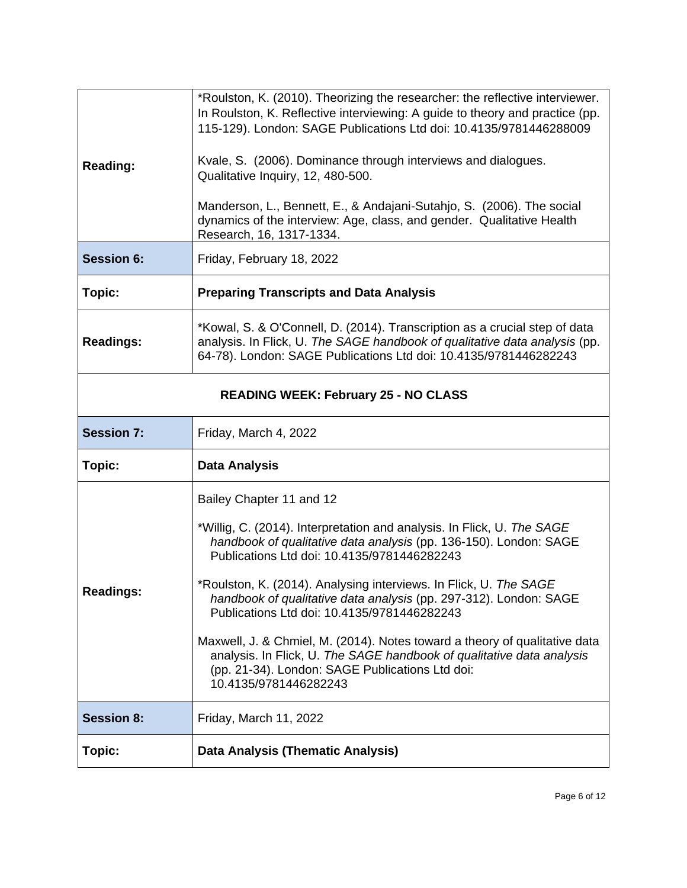| <b>Reading:</b>                             | *Roulston, K. (2010). Theorizing the researcher: the reflective interviewer.<br>In Roulston, K. Reflective interviewing: A guide to theory and practice (pp.<br>115-129). London: SAGE Publications Ltd doi: 10.4135/9781446288009<br>Kvale, S. (2006). Dominance through interviews and dialogues.<br>Qualitative Inquiry, 12, 480-500.<br>Manderson, L., Bennett, E., & Andajani-Sutahjo, S. (2006). The social<br>dynamics of the interview: Age, class, and gender. Qualitative Health<br>Research, 16, 1317-1334.                                                                                                                             |  |
|---------------------------------------------|----------------------------------------------------------------------------------------------------------------------------------------------------------------------------------------------------------------------------------------------------------------------------------------------------------------------------------------------------------------------------------------------------------------------------------------------------------------------------------------------------------------------------------------------------------------------------------------------------------------------------------------------------|--|
| <b>Session 6:</b>                           | Friday, February 18, 2022                                                                                                                                                                                                                                                                                                                                                                                                                                                                                                                                                                                                                          |  |
| Topic:                                      | <b>Preparing Transcripts and Data Analysis</b>                                                                                                                                                                                                                                                                                                                                                                                                                                                                                                                                                                                                     |  |
| <b>Readings:</b>                            | *Kowal, S. & O'Connell, D. (2014). Transcription as a crucial step of data<br>analysis. In Flick, U. The SAGE handbook of qualitative data analysis (pp.<br>64-78). London: SAGE Publications Ltd doi: 10.4135/9781446282243                                                                                                                                                                                                                                                                                                                                                                                                                       |  |
| <b>READING WEEK: February 25 - NO CLASS</b> |                                                                                                                                                                                                                                                                                                                                                                                                                                                                                                                                                                                                                                                    |  |
| <b>Session 7:</b>                           | Friday, March 4, 2022                                                                                                                                                                                                                                                                                                                                                                                                                                                                                                                                                                                                                              |  |
| Topic:                                      | <b>Data Analysis</b>                                                                                                                                                                                                                                                                                                                                                                                                                                                                                                                                                                                                                               |  |
| Readings:                                   | Bailey Chapter 11 and 12<br>*Willig, C. (2014). Interpretation and analysis. In Flick, U. The SAGE<br>handbook of qualitative data analysis (pp. 136-150). London: SAGE<br>Publications Ltd doi: 10.4135/9781446282243<br>*Roulston, K. (2014). Analysing interviews. In Flick, U. The SAGE<br>handbook of qualitative data analysis (pp. 297-312). London: SAGE<br>Publications Ltd doi: 10.4135/9781446282243<br>Maxwell, J. & Chmiel, M. (2014). Notes toward a theory of qualitative data<br>analysis. In Flick, U. The SAGE handbook of qualitative data analysis<br>(pp. 21-34). London: SAGE Publications Ltd doi:<br>10.4135/9781446282243 |  |
| <b>Session 8:</b>                           | Friday, March 11, 2022                                                                                                                                                                                                                                                                                                                                                                                                                                                                                                                                                                                                                             |  |
|                                             |                                                                                                                                                                                                                                                                                                                                                                                                                                                                                                                                                                                                                                                    |  |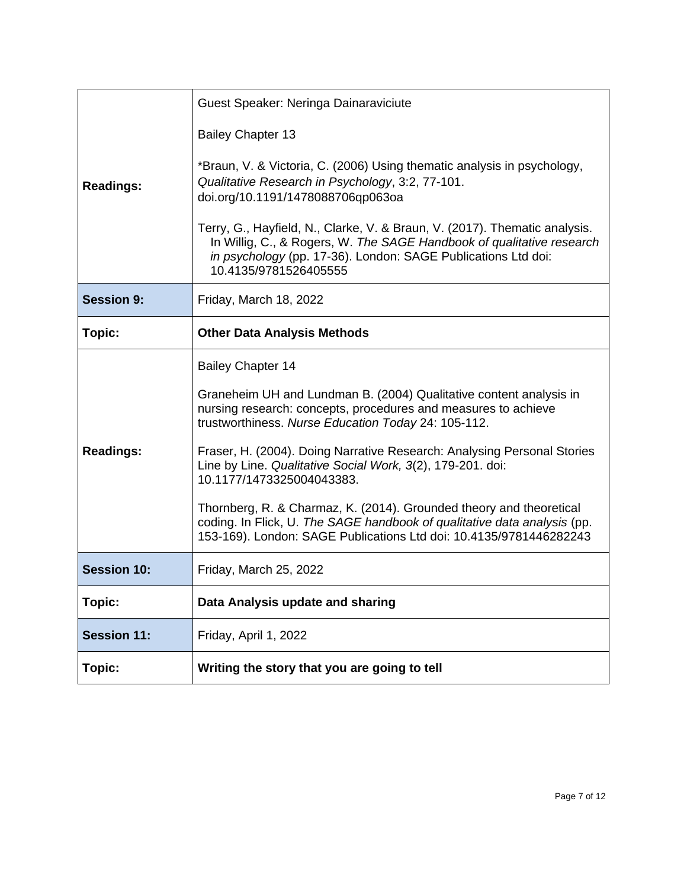|                    | Guest Speaker: Neringa Dainaraviciute                                                                                                                                                                                                         |
|--------------------|-----------------------------------------------------------------------------------------------------------------------------------------------------------------------------------------------------------------------------------------------|
| <b>Readings:</b>   | <b>Bailey Chapter 13</b><br>*Braun, V. & Victoria, C. (2006) Using thematic analysis in psychology,<br>Qualitative Research in Psychology, 3:2, 77-101.                                                                                       |
|                    | doi.org/10.1191/1478088706qp063oa                                                                                                                                                                                                             |
|                    | Terry, G., Hayfield, N., Clarke, V. & Braun, V. (2017). Thematic analysis.<br>In Willig, C., & Rogers, W. The SAGE Handbook of qualitative research<br>in psychology (pp. 17-36). London: SAGE Publications Ltd doi:<br>10.4135/9781526405555 |
| <b>Session 9:</b>  | Friday, March 18, 2022                                                                                                                                                                                                                        |
| Topic:             | <b>Other Data Analysis Methods</b>                                                                                                                                                                                                            |
|                    | <b>Bailey Chapter 14</b>                                                                                                                                                                                                                      |
| <b>Readings:</b>   | Graneheim UH and Lundman B. (2004) Qualitative content analysis in<br>nursing research: concepts, procedures and measures to achieve<br>trustworthiness. Nurse Education Today 24: 105-112.                                                   |
|                    | Fraser, H. (2004). Doing Narrative Research: Analysing Personal Stories<br>Line by Line. Qualitative Social Work, 3(2), 179-201. doi:<br>10.1177/1473325004043383.                                                                            |
|                    | Thornberg, R. & Charmaz, K. (2014). Grounded theory and theoretical<br>coding. In Flick, U. The SAGE handbook of qualitative data analysis (pp.<br>153-169). London: SAGE Publications Ltd doi: 10.4135/9781446282243                         |
| <b>Session 10:</b> | Friday, March 25, 2022                                                                                                                                                                                                                        |
| Topic:             | Data Analysis update and sharing                                                                                                                                                                                                              |
| <b>Session 11:</b> | Friday, April 1, 2022                                                                                                                                                                                                                         |
| Topic:             | Writing the story that you are going to tell                                                                                                                                                                                                  |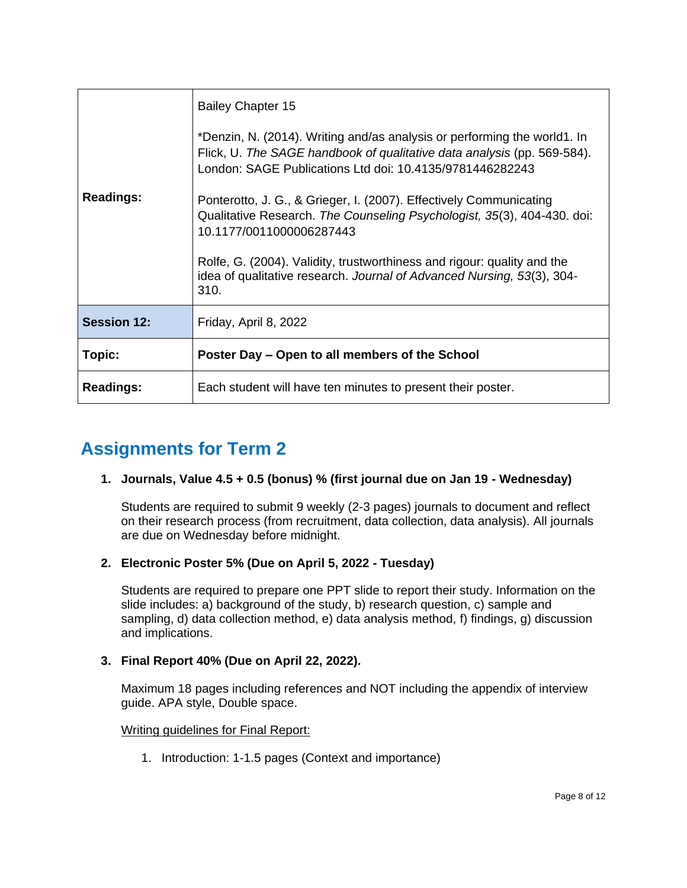| <b>Readings:</b>   | <b>Bailey Chapter 15</b><br>*Denzin, N. (2014). Writing and/as analysis or performing the world1. In<br>Flick, U. The SAGE handbook of qualitative data analysis (pp. 569-584).<br>London: SAGE Publications Ltd doi: 10.4135/9781446282243<br>Ponterotto, J. G., & Grieger, I. (2007). Effectively Communicating<br>Qualitative Research. The Counseling Psychologist, 35(3), 404-430. doi:<br>10.1177/0011000006287443<br>Rolfe, G. (2004). Validity, trustworthiness and rigour: quality and the<br>idea of qualitative research. Journal of Advanced Nursing, 53(3), 304-<br>310. |
|--------------------|---------------------------------------------------------------------------------------------------------------------------------------------------------------------------------------------------------------------------------------------------------------------------------------------------------------------------------------------------------------------------------------------------------------------------------------------------------------------------------------------------------------------------------------------------------------------------------------|
| <b>Session 12:</b> | Friday, April 8, 2022                                                                                                                                                                                                                                                                                                                                                                                                                                                                                                                                                                 |
| Topic:             | Poster Day – Open to all members of the School                                                                                                                                                                                                                                                                                                                                                                                                                                                                                                                                        |
| <b>Readings:</b>   | Each student will have ten minutes to present their poster.                                                                                                                                                                                                                                                                                                                                                                                                                                                                                                                           |

## **Assignments for Term 2**

#### **1. Journals, Value 4.5 + 0.5 (bonus) % (first journal due on Jan 19 - Wednesday)**

Students are required to submit 9 weekly (2-3 pages) journals to document and reflect on their research process (from recruitment, data collection, data analysis). All journals are due on Wednesday before midnight.

#### **2. Electronic Poster 5% (Due on April 5, 2022 - Tuesday)**

Students are required to prepare one PPT slide to report their study. Information on the slide includes: a) background of the study, b) research question, c) sample and sampling, d) data collection method, e) data analysis method, f) findings, g) discussion and implications.

#### **3. Final Report 40% (Due on April 22, 2022).**

Maximum 18 pages including references and NOT including the appendix of interview guide. APA style, Double space.

#### Writing guidelines for Final Report:

1. Introduction: 1-1.5 pages (Context and importance)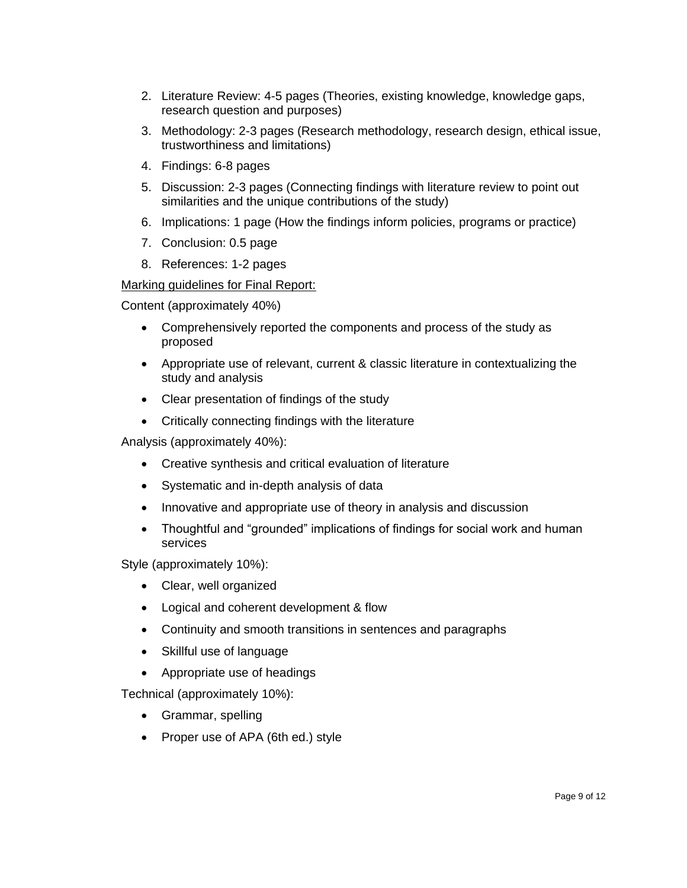- 2. Literature Review: 4-5 pages (Theories, existing knowledge, knowledge gaps, research question and purposes)
- 3. Methodology: 2-3 pages (Research methodology, research design, ethical issue, trustworthiness and limitations)
- 4. Findings: 6-8 pages
- 5. Discussion: 2-3 pages (Connecting findings with literature review to point out similarities and the unique contributions of the study)
- 6. Implications: 1 page (How the findings inform policies, programs or practice)
- 7. Conclusion: 0.5 page
- 8. References: 1-2 pages

#### Marking guidelines for Final Report:

Content (approximately 40%)

- Comprehensively reported the components and process of the study as proposed
- Appropriate use of relevant, current & classic literature in contextualizing the study and analysis
- Clear presentation of findings of the study
- Critically connecting findings with the literature

Analysis (approximately 40%):

- Creative synthesis and critical evaluation of literature
- Systematic and in-depth analysis of data
- Innovative and appropriate use of theory in analysis and discussion
- Thoughtful and "grounded" implications of findings for social work and human services

Style (approximately 10%):

- Clear, well organized
- Logical and coherent development & flow
- Continuity and smooth transitions in sentences and paragraphs
- Skillful use of language
- Appropriate use of headings

Technical (approximately 10%):

- Grammar, spelling
- Proper use of APA (6th ed.) style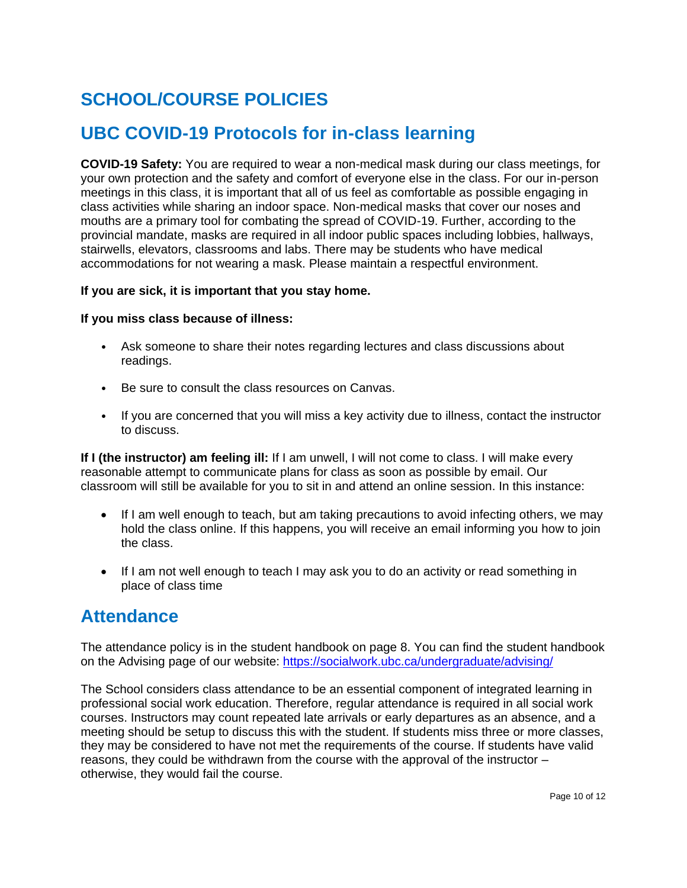# **SCHOOL/COURSE POLICIES**

### **UBC COVID-19 Protocols for in-class learning**

**COVID-19 Safety:** You are required to wear a non-medical mask during our class meetings, for your own protection and the safety and comfort of everyone else in the class. For our in-person meetings in this class, it is important that all of us feel as comfortable as possible engaging in class activities while sharing an indoor space. Non-medical masks that cover our noses and mouths are a primary tool for combating the spread of COVID-19. Further, according to the provincial mandate, masks are required in all indoor public spaces including lobbies, hallways, stairwells, elevators, classrooms and labs. There may be students who have medical accommodations for not wearing a mask. Please maintain a respectful environment.

#### **If you are sick, it is important that you stay home.**

#### **If you miss class because of illness:**

- Ask someone to share their notes regarding lectures and class discussions about readings.
- Be sure to consult the class resources on Canvas.
- If you are concerned that you will miss a key activity due to illness, contact the instructor to discuss.

**If I (the instructor) am feeling ill:** If I am unwell, I will not come to class. I will make every reasonable attempt to communicate plans for class as soon as possible by email. Our classroom will still be available for you to sit in and attend an online session. In this instance:

- If I am well enough to teach, but am taking precautions to avoid infecting others, we may hold the class online. If this happens, you will receive an email informing you how to join the class.
- If I am not well enough to teach I may ask you to do an activity or read something in place of class time

### **Attendance**

The attendance policy is in the student handbook on page 8. You can find the student handbook on the Advising page of our website:<https://socialwork.ubc.ca/undergraduate/advising/>

The School considers class attendance to be an essential component of integrated learning in professional social work education. Therefore, regular attendance is required in all social work courses. Instructors may count repeated late arrivals or early departures as an absence, and a meeting should be setup to discuss this with the student. If students miss three or more classes, they may be considered to have not met the requirements of the course. If students have valid reasons, they could be withdrawn from the course with the approval of the instructor – otherwise, they would fail the course.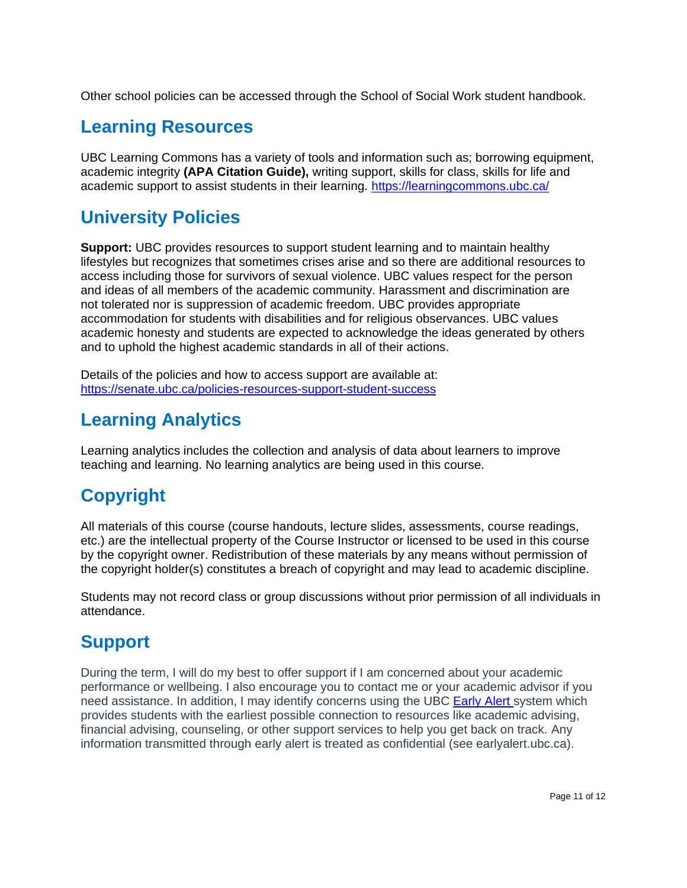Other school policies can be accessed through the School of Social Work student handbook.

### **Learning Resources**

UBC Learning Commons has a variety of tools and information such as; borrowing equipment, academic integrity **(APA Citation Guide),** writing support, skills for class, skills for life and academic support to assist students in their learning.<https://learningcommons.ubc.ca/>

## **University Policies**

**Support:** UBC provides resources to support student learning and to maintain healthy lifestyles but recognizes that sometimes crises arise and so there are additional resources to access including those for survivors of sexual violence. UBC values respect for the person and ideas of all members of the academic community. Harassment and discrimination are not tolerated nor is suppression of academic freedom. UBC provides appropriate accommodation for students with disabilities and for religious observances. UBC values academic honesty and students are expected to acknowledge the ideas generated by others and to uphold the highest academic standards in all of their actions.

Details of the policies and how to access support are available at: <https://senate.ubc.ca/policies-resources-support-student-success>

## **Learning Analytics**

Learning analytics includes the collection and analysis of data about learners to improve teaching and learning. No learning analytics are being used in this course.

# **Copyright**

All materials of this course (course handouts, lecture slides, assessments, course readings, etc.) are the intellectual property of the Course Instructor or licensed to be used in this course by the copyright owner. Redistribution of these materials by any means without permission of the copyright holder(s) constitutes a breach of copyright and may lead to academic discipline.

Students may not record class or group discussions without prior permission of all individuals in attendance.

## **Support**

During the term, I will do my best to offer support if I am concerned about your academic performance or wellbeing. I also encourage you to contact me or your academic advisor if you need assistance. In addition, I may identify concerns using the UBC [Early Alert](http://earlyalert.ubc.ca/) system which provides students with the earliest possible connection to resources like academic advising, financial advising, counseling, or other support services to help you get back on track. Any information transmitted through early alert is treated as confidential (see earlyalert.ubc.ca).